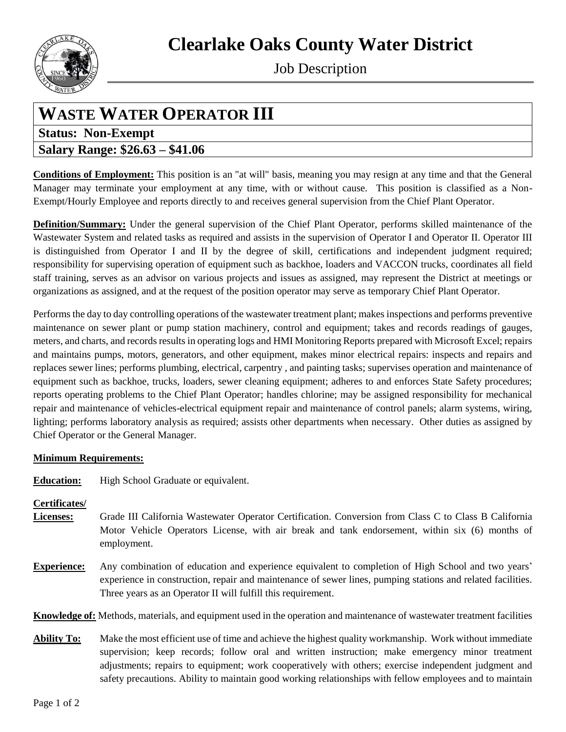**Clearlake Oaks County Water District**



Job Description

# **WASTE WATER OPERATOR III**

## **Status: Non-Exempt Salary Range: \$26.63 – \$41.06**

**Conditions of Employment:** This position is an "at will" basis, meaning you may resign at any time and that the General Manager may terminate your employment at any time, with or without cause. This position is classified as a Non-Exempt/Hourly Employee and reports directly to and receives general supervision from the Chief Plant Operator.

**Definition/Summary:** Under the general supervision of the Chief Plant Operator, performs skilled maintenance of the Wastewater System and related tasks as required and assists in the supervision of Operator I and Operator II. Operator III is distinguished from Operator I and II by the degree of skill, certifications and independent judgment required; responsibility for supervising operation of equipment such as backhoe, loaders and VACCON trucks, coordinates all field staff training, serves as an advisor on various projects and issues as assigned, may represent the District at meetings or organizations as assigned, and at the request of the position operator may serve as temporary Chief Plant Operator.

Performs the day to day controlling operations of the wastewater treatment plant; makes inspections and performs preventive maintenance on sewer plant or pump station machinery, control and equipment; takes and records readings of gauges, meters, and charts, and records results in operating logs and HMI Monitoring Reports prepared with Microsoft Excel; repairs and maintains pumps, motors, generators, and other equipment, makes minor electrical repairs: inspects and repairs and replaces sewer lines; performs plumbing, electrical, carpentry , and painting tasks; supervises operation and maintenance of equipment such as backhoe, trucks, loaders, sewer cleaning equipment; adheres to and enforces State Safety procedures; reports operating problems to the Chief Plant Operator; handles chlorine; may be assigned responsibility for mechanical repair and maintenance of vehicles-electrical equipment repair and maintenance of control panels; alarm systems, wiring, lighting; performs laboratory analysis as required; assists other departments when necessary. Other duties as assigned by Chief Operator or the General Manager.

### **Minimum Requirements:**

**Education:** High School Graduate or equivalent.

### **Certificates/**

- **Licenses:** Grade III California Wastewater Operator Certification. Conversion from Class C to Class B California Motor Vehicle Operators License, with air break and tank endorsement, within six (6) months of employment.
- **Experience:** Any combination of education and experience equivalent to completion of High School and two years' experience in construction, repair and maintenance of sewer lines, pumping stations and related facilities. Three years as an Operator II will fulfill this requirement.

**Knowledge of:** Methods, materials, and equipment used in the operation and maintenance of wastewater treatment facilities

**Ability To:** Make the most efficient use of time and achieve the highest quality workmanship. Work without immediate supervision; keep records; follow oral and written instruction; make emergency minor treatment adjustments; repairs to equipment; work cooperatively with others; exercise independent judgment and safety precautions. Ability to maintain good working relationships with fellow employees and to maintain